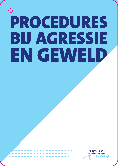# $\bigcap$ PROCEDURES BIJ AGRESSIE EN GEWELD

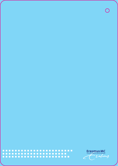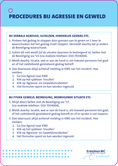## PROCEDURES BIJ AGRESSIE EN GEWELD

#### **BIJ VERBALE AGRESSIE, SCHELDEN, HINDERLIJK GEDRAG ETC.**

- 1. Probeer het gedrag te stoppen door grenzen aan te geven en 1 keer te waarschuwen dat het gedrag moet stoppen. Vermeldt daarbij dat je anders de Beveiliging waarschuwt.
- 2. Indien dit niet werkt (of de situatie daarvoor te bedreigend is): bellen met de Beveiliging via \*15 (via mobiele telefoon: 010-7034004).
- 3. Meldt daarbij: locatie, wat er aan de hand is, om hoeveel personen het gaat en of het ziektebeeld-gerelateerd gedrag betreft.
- 4. Doe daarnaast altijd achteraf melding in KMS van het incident. Hoe melden:
	- 1. Ga (via Agora) naar KMS
	- 2. Klik op het sjabloon 'Invullen'
	- 3. Klik op 'Agressie- en Geweldsincidenten'
	- 4. Het formulier opent en kan worden ingevuld

#### **BIJ FYSIEK GEWELD, BEDREIGING, BEDREIGENDE SITUATIE ETC.**

- 1. Altijd direct bellen met de Beveiliging via \*15 (via mobiele telefoon: 010-7034004).
- 2. Meldt daarbij: locatie, wat er aan de hand is, om hoeveel personen het gaat, of het ziektebeeld-gerelateerd gedrag betreft en of er sprake is van wapens.
- 3. Doe daarnaast altijd achteraf melding in KMS van het incident. Hoe melden:
	- 1. Ga (via Agora) naar KMS

- 2. Klik op het sjabloon 'Invullen'
- 3. Klik op 'Agressie- en Geweldsincidenten'
- 4. Het formulier opent en kan worden ingevuld

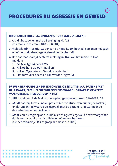### PROCEDURES BIJ AGRESSIE EN GEWELD

#### **BIJ OPENLIJK HOESTEN, SPUGEN (OF DAARMEE DREIGEN):**

- 1. Altijd direct bellen met de Beveiliging via \*15 (via mobiele telefoon: 010-7034004)
- 2. Meldt daarbij: locatie, wat er aan de hand is, om hoeveel personen het gaat en of het ziektebeeld-gerelateerd gedrag betreft
- 4. Doe daarnaast altijd achteraf melding in KMS van het incident. Hoe melden:
	- 1. Ga (via Agora) naar KMS

a a a a a a a a a a a a a a a a a a a a a a a a a a a a a a a a a a a a a a a a a a a a a a a a a a a a a a a a a a a a a a a a a a a a a a a a a a a

- 2. Klik op het sjabloon 'Invullen'
- 3. Klik op 'Agressie- en Geweldsincidenten'
- 4. Het formulier opent en kan worden ingevuld

#### **PREVENTIEF HANDELEN BIJ EEN ONVEILIGE SITUATIE: O.A. PATIËNT MET GELE KAART, FAMILIELEDEN/BEZOEKERS WAARBIJ SPRAKE IS GEWEEST VAN AGRESSIE, RISICOGROEP IN HIX**

- 1. Altijd melden bij de Meldkamer op het gewone nummer: 010-7033124
- 2. Meldt daarbij: locatie, naam patiënt (en eventueel van ouders/bezoekers) en datum en tijd waarop de afspraak met de patiënt is (of wanneer de desbetreffende familie komt)
- 3. Maak een risicogroep aan in HiX als zich agressie/geweld heeft voorgedaan dat is veroorzaakt door familieleden of andere bezoekers (zie het zakkaartje 'Risicogroep aanmaken in HiX')

**Erasmus MC**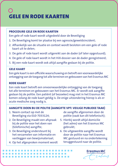## GELE EN RODE KAARTEN

#### **PROCEDURE GELE EN RODE KAARTEN**

Een gele of rode kaart wordt uitgedeeld door de Beveiliging

- 1. De Beveiliging komt ter plaatse bij een agressie/geweldsincident;
- 2. Afhankelijk van de situatie en context wordt besloten om een gele of rode kaart uit te delen;
- 3. De gele of rode kaart wordt uitgereikt aan de dader (of later opgestuurd);
- 4. De gele of rode kaart wordt in het HiX-dossier van de dader geregistreerd;
- 5. Bij een rode kaart wordt ook altijd aangifte gedaan bij de politie.

#### **GELE KAART**

Een gele kaart is een officiële waarschuwing en betreft een voorwaardelijke ontzegging van de toegang tot alle terreinen en gebouwen van het Erasmus MC

#### **RODE KAART**

Een rode kaart betreft een onvoorwaardelijke ontzegging van de toegang tot alle terreinen en gebouwen van het Erasmus MC. Er wordt ook aangifte gedaan bij de politie. Een patiënt (of bezoeker) mag niet in het Erasmus MC komen zolang de rode kaart geldig is. De enige uitzondering hierop is als er acute medische zorg nodig is.

#### **AANGIFTE DOEN BIJ DE POLITIE (AANGIFTE VPT: VEILIGE PUBLIEKE TAAK)**

- 1. Neem contact op met de Beveiliging via 010-7033124;
- 2. De Beveiliging maakt een afspraak bij de politie voor het doen van (telefonische) aangifte;
- 3. De Beveiliging ondersteunt bij het verzamelen van informatie en vastleggen van bewijsmateriaal;
- 4. Op het afgesproken moment wordt

a a a a a a a a a a a a a a a a a a a a a a a a a a a a a a a a a a a a a a a a a a a a a a a a a a a a a a a a a a a a a a a a a a a a a a a a a a a

de aangifte afgenomen door de politie (vaak kan dit telefonisch);

- 5. Hierbij wordt altijd domicilie (het adres) van het Erasmus MC gebruikt;
- 6. De uitgewerkte aangifte wordt door de politie naar het Erasmus MC gestuurd en na ondertekening teruggestuurd naar de politie.

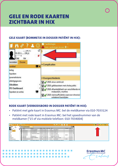### GELE EN RODE KAARTEN ZICHTBAAR IN HIX

#### **GELE KAART (BOMMETJE IN DOSSIER PATIËNT IN HIX):**



#### **RODE KAART (VERBODSBORD IN DOSSIER PATIËNT IN HIX):**

- Patiënt met gele kaart in Erasmus MC: bel de meldkamer via 010-7033124
- Patiënt met rode kaart in Erasmus MC: bel het spoednummer van de meldkamer (\*15 of via mobiele telefoon: 010-7034004)

| <b>IM 8 ? A</b>            |   | 40.000 S.00-201 & v                | 十人に出し目し暮し暮」                                        |  |                                 |       |  |                                                                                                 |  |                    |                  |
|----------------------------|---|------------------------------------|----------------------------------------------------|--|---------------------------------|-------|--|-------------------------------------------------------------------------------------------------|--|--------------------|------------------|
| $-06$ in                   |   | P > Filter Datum filter (affopend) | $\mathbf{v}$                                       |  |                                 |       |  |                                                                                                 |  | <b>QB</b>          |                  |
|                            |   | Agenda                             | Subagenda                                          |  | Weekdag Datum . Tad . Duur Code |       |  |                                                                                                 |  | C Unverder Locatie |                  |
|                            |   | 9092                               | CLIPPEERUUR KONDEREN                               |  | dondering \$7-52-2020 12:30     |       |  | 60 NPCI Neuve patient ci                                                                        |  |                    | Ensmos MC-       |
| Donier                     |   | $H$ AUDIOLOGIESC                   | AUDI, GEHOCRTESTEN                                 |  | donderdag 67-52-2020 12:00      |       |  | 30 PWVTO Audogram wite                                                                          |  |                    | frasmus MC-      |
| robled                     |   | AUDIOLOGIE SKZ                     | AUD2_GEHOORTESTEN                                  |  | donderdag 67-52-2020 11:00      |       |  | 20 PWVTO Audiogram wite                                                                         |  |                    | Enomin MC-       |
| <b>Indep</b>               |   | AUDIOLOGIE SKZ                     | WELAUDIOLOGISCH CENTRUM donderdag 67-62-2023 09:30 |  |                                 |       |  | 90 PVBBA Bera onderzoek                                                                         |  |                    | Entrance MC -    |
| phames                     |   | AUDIOLOGIE SKZ                     | TOLL                                               |  | woensdag 06-02-2020 08:30       |       |  | 30 PVV/TK Vnieveld toon kort                                                                    |  | V M70UR            | Entrance MC -    |
|                            | ۰ | RADIOLOGIE                         | CONTRUM BUCKY ZL                                   |  | donderdag 27-12-2018 09:40      |       |  | 7 CR32058 Bekken/heupen/bdc                                                                     |  |                    | Enomin MC        |
|                            | ۰ | RADIOLOGIE                         | CONTINUATION CT KANSE SEH                          |  | membro 34-12-2018 13:00         |       |  | 15 CT/ML CT Abdomen met contrast                                                                |  |                    | <b>EnominANC</b> |
|                            |   | LONGGENEESCINDE DDH CNCASE         |                                                    |  | donderdag 20-12-2018 16:15      | 15 CP |  | Controle patient                                                                                |  | H SONN             | Enomic MC -      |
| islatisch vernieeringsfine |   | AUDIOLOGIE SKZ                     |                                                    |  |                                 |       |  | PRELOCOPIZISON SPRESSUR. zondeg 09-12-2018 20:32 60 PV/PSS VFSS studie Ruorscopic swallowing) * |  |                    | Enomina MC -     |

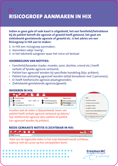## RISICOGROEP AANMAKEN IN HIX

**Indien er geen gele of rode kaart is uitgedeeld, het een familielid/betrokkene bij de patiënt betreft die agressie of geweld heeft getoond, het gaat om ziektebeeld-gerelateerde agressie of geweld etc. is het advies om een Risicogroep in HiX aan te maken:** 

- 1. In HIX een risicogroep aanmaken;
- 2. Aanvinken vakje 'overig';
- 3. In het tekstveld aangeven waar het risico uit bestaat

#### **VOORBEELDEN VAN NOTITIES:**

- Familielid/bezoeker (vader, moeder, zoon, dochter, vriend etc.) heeft verbale of fysieke agressie vertoond;
- Patiënt kan agressief worden bij specifieke handeling (bijv. prikken);
- Patiënt kan plotseling agressief worden (altijd benaderen met 2 personen);
- Er heeft telefonische agressie plaatsgevonden;
- Ziektebeeld-gerelateerde agressie/geweld.

#### **INVOEREN IN HIX:**



patiënt heeft verbale agressie vertoond op datum/ tijd, telefonische agressie door patiënt of patiënt kan agressief worden bij prikken).

Vader kan aggressief gedrag vert

#### **REEDS GEMAAKTE NOTITIE IS ZICHTBAAR IN HIX:**



Tekst van de ingevulde reden in het vrije tekstveld wordt zichtbaar, zodra je met de cursor op het uitroepteken komt.